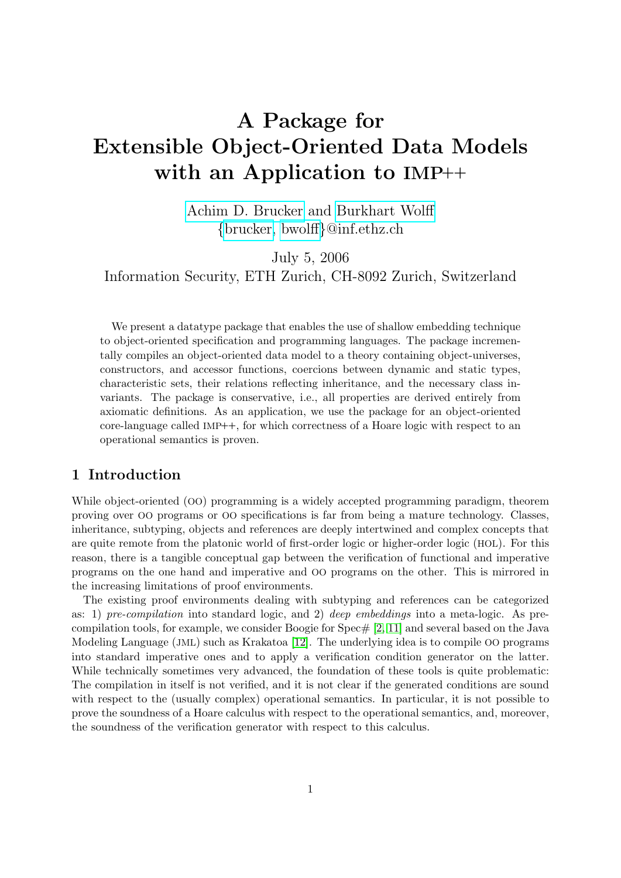# A Package for Extensible Object-Oriented Data Models with an Application to IMP++

[Achim D. Brucker](http://www.brucker.ch/) and [Burkhart Wolff](http://www.infsec.ethz.ch/people/bwolff/) {[brucker,](mailto:brucker@inf.ethz.ch) [bwolff](mailto:bwolff@inf.ethz.ch)}@inf.ethz.ch

July 5, 2006 Information Security, ETH Zurich, CH-8092 Zurich, Switzerland

We present a datatype package that enables the use of shallow embedding technique to object-oriented specification and programming languages. The package incrementally compiles an object-oriented data model to a theory containing object-universes, constructors, and accessor functions, coercions between dynamic and static types, characteristic sets, their relations reflecting inheritance, and the necessary class invariants. The package is conservative, i.e., all properties are derived entirely from axiomatic definitions. As an application, we use the package for an object-oriented core-language called IMP++, for which correctness of a Hoare logic with respect to an operational semantics is proven.

## 1 Introduction

While object-oriented (OO) programming is a widely accepted programming paradigm, theorem proving over OO programs or OO specifications is far from being a mature technology. Classes, inheritance, subtyping, objects and references are deeply intertwined and complex concepts that are quite remote from the platonic world of first-order logic or higher-order logic (HOL). For this reason, there is a tangible conceptual gap between the verification of functional and imperative programs on the one hand and imperative and OO programs on the other. This is mirrored in the increasing limitations of proof environments.

The existing proof environments dealing with subtyping and references can be categorized as: 1) pre-compilation into standard logic, and 2) deep embeddings into a meta-logic. As precompilation tools, for example, we consider Boogie for  $Spec \# [2, 11]$  $Spec \# [2, 11]$  $Spec \# [2, 11]$  and several based on the Java Modeling Language (JML) such as Krakatoa [\[12\]](#page-14-1). The underlying idea is to compile OO programs into standard imperative ones and to apply a verification condition generator on the latter. While technically sometimes very advanced, the foundation of these tools is quite problematic: The compilation in itself is not verified, and it is not clear if the generated conditions are sound with respect to the (usually complex) operational semantics. In particular, it is not possible to prove the soundness of a Hoare calculus with respect to the operational semantics, and, moreover, the soundness of the verification generator with respect to this calculus.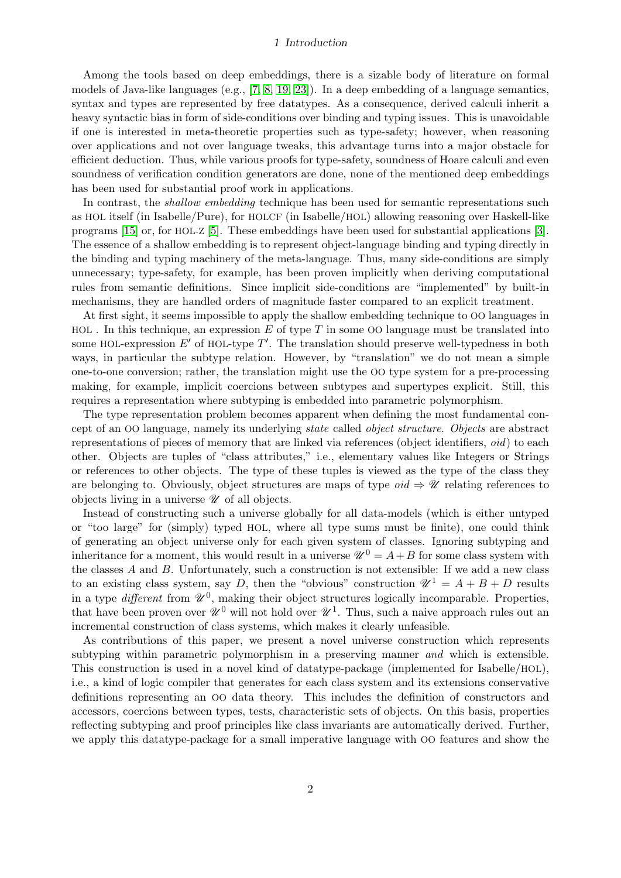#### 1 Introduction

Among the tools based on deep embeddings, there is a sizable body of literature on formal models of Java-like languages (e.g., [\[7,](#page-13-1) [8,](#page-13-2) [19,](#page-14-2) [23\]](#page-14-3)). In a deep embedding of a language semantics, syntax and types are represented by free datatypes. As a consequence, derived calculi inherit a heavy syntactic bias in form of side-conditions over binding and typing issues. This is unavoidable if one is interested in meta-theoretic properties such as type-safety; however, when reasoning over applications and not over language tweaks, this advantage turns into a major obstacle for efficient deduction. Thus, while various proofs for type-safety, soundness of Hoare calculi and even soundness of verification condition generators are done, none of the mentioned deep embeddings has been used for substantial proof work in applications.

In contrast, the *shallow embedding* technique has been used for semantic representations such as HOL itself (in Isabelle/Pure), for HOLCF (in Isabelle/HOL) allowing reasoning over Haskell-like programs [\[15\]](#page-14-4) or, for HOL-Z [\[5\]](#page-13-3). These embeddings have been used for substantial applications [\[3\]](#page-13-4). The essence of a shallow embedding is to represent object-language binding and typing directly in the binding and typing machinery of the meta-language. Thus, many side-conditions are simply unnecessary; type-safety, for example, has been proven implicitly when deriving computational rules from semantic definitions. Since implicit side-conditions are "implemented" by built-in mechanisms, they are handled orders of magnitude faster compared to an explicit treatment.

At first sight, it seems impossible to apply the shallow embedding technique to OO languages in  $HOL$ . In this technique, an expression E of type T in some OO language must be translated into some HOL-expression  $E'$  of HOL-type  $T'$ . The translation should preserve well-typedness in both ways, in particular the subtype relation. However, by "translation" we do not mean a simple one-to-one conversion; rather, the translation might use the OO type system for a pre-processing making, for example, implicit coercions between subtypes and supertypes explicit. Still, this requires a representation where subtyping is embedded into parametric polymorphism.

The type representation problem becomes apparent when defining the most fundamental concept of an OO language, namely its underlying state called object structure. Objects are abstract representations of pieces of memory that are linked via references (object identifiers, oid) to each other. Objects are tuples of "class attributes," i.e., elementary values like Integers or Strings or references to other objects. The type of these tuples is viewed as the type of the class they are belonging to. Obviously, object structures are maps of type  $oid \Rightarrow \mathscr{U}$  relating references to objects living in a universe  $\mathscr U$  of all objects.

Instead of constructing such a universe globally for all data-models (which is either untyped or "too large" for (simply) typed HOL, where all type sums must be finite), one could think of generating an object universe only for each given system of classes. Ignoring subtyping and inheritance for a moment, this would result in a universe  $\mathcal{U}^0 = A + B$  for some class system with the classes  $A$  and  $B$ . Unfortunately, such a construction is not extensible: If we add a new class to an existing class system, say D, then the "obvious" construction  $\mathcal{U}^1 = A + B + D$  results in a type *different* from  $\mathscr{U}^0$ , making their object structures logically incomparable. Properties, that have been proven over  $\mathscr{U}^0$  will not hold over  $\mathscr{U}^1$ . Thus, such a naive approach rules out an incremental construction of class systems, which makes it clearly unfeasible.

As contributions of this paper, we present a novel universe construction which represents subtyping within parametric polymorphism in a preserving manner *and* which is extensible. This construction is used in a novel kind of datatype-package (implemented for Isabelle/HOL), i.e., a kind of logic compiler that generates for each class system and its extensions conservative definitions representing an OO data theory. This includes the definition of constructors and accessors, coercions between types, tests, characteristic sets of objects. On this basis, properties reflecting subtyping and proof principles like class invariants are automatically derived. Further, we apply this datatype-package for a small imperative language with OO features and show the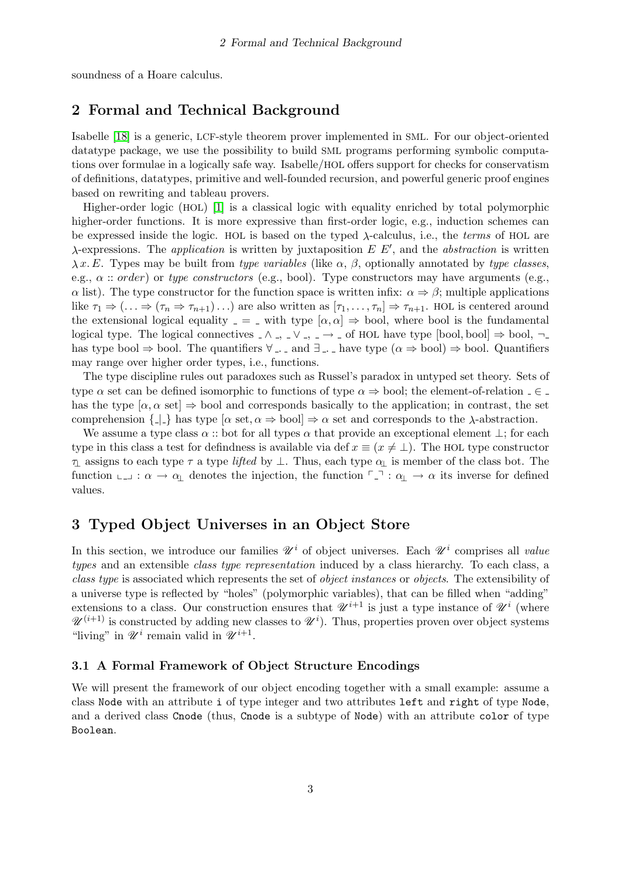soundness of a Hoare calculus.

## 2 Formal and Technical Background

Isabelle [\[18\]](#page-14-5) is a generic, LCF-style theorem prover implemented in SML. For our object-oriented datatype package, we use the possibility to build SML programs performing symbolic computations over formulae in a logically safe way. Isabelle/HOL offers support for checks for conservatism of definitions, datatypes, primitive and well-founded recursion, and powerful generic proof engines based on rewriting and tableau provers.

Higher-order logic (HOL) [\[1\]](#page-13-5) is a classical logic with equality enriched by total polymorphic higher-order functions. It is more expressive than first-order logic, e.g., induction schemes can be expressed inside the logic. HOL is based on the typed  $\lambda$ -calculus, i.e., the *terms* of HOL are  $\lambda$ -expressions. The *application* is written by juxtaposition  $E E'$ , and the *abstraction* is written  $\lambda x. E$ . Types may be built from type variables (like  $\alpha$ ,  $\beta$ , optionally annotated by type classes, e.g.,  $\alpha$ : order) or type constructors (e.g., bool). Type constructors may have arguments (e.g.,  $\alpha$  list). The type constructor for the function space is written infix:  $\alpha \Rightarrow \beta$ ; multiple applications like  $\tau_1 \Rightarrow (\ldots \Rightarrow (\tau_n \Rightarrow \tau_{n+1}) \ldots)$  are also written as  $[\tau_1, \ldots, \tau_n] \Rightarrow \tau_{n+1}$ . HOL is centered around the extensional logical equality  $=$  = with type  $[\alpha, \alpha] \Rightarrow$  bool, where bool is the fundamental logical type. The logical connectives  $\wedge$ ,  $\vee$ ,  $\rightarrow$   $\rightarrow$  of HOL have type [bool, bool]  $\Rightarrow$  bool,  $\neg$ has type bool  $\Rightarrow$  bool. The quantifiers  $\forall$  . and  $\exists$  . have type  $(\alpha \Rightarrow$  bool)  $\Rightarrow$  bool. Quantifiers may range over higher order types, i.e., functions.

The type discipline rules out paradoxes such as Russel's paradox in untyped set theory. Sets of type  $\alpha$  set can be defined isomorphic to functions of type  $\alpha \Rightarrow$  bool; the element-of-relation  $\alpha \in \Delta$ has the type  $[\alpha, \alpha \text{ set}] \Rightarrow$  bool and corresponds basically to the application; in contrast, the set comprehension  $\{\underline{\ }$  has type  $[\alpha \text{ set}, \alpha \Rightarrow \text{bool}] \Rightarrow \alpha \text{ set}$  and corresponds to the  $\lambda$ -abstraction.

We assume a type class  $\alpha$  :: bot for all types  $\alpha$  that provide an exceptional element  $\perp$ ; for each type in this class a test for defindness is available via def  $x \equiv (x \neq \perp)$ . The HOL type constructor  $\tau_1$  assigns to each type  $\tau$  a type lifted by  $\bot$ . Thus, each type  $\alpha_1$  is member of the class bot. The function  $\Box$ :  $\alpha \to \alpha_{\perp}$  denotes the injection, the function  $\Box$ :  $\alpha_{\perp} \to \alpha$  its inverse for defined values.

## <span id="page-2-0"></span>3 Typed Object Universes in an Object Store

In this section, we introduce our families  $\mathscr{U}^i$  of object universes. Each  $\mathscr{U}^i$  comprises all value types and an extensible *class type representation* induced by a class hierarchy. To each class, a class type is associated which represents the set of object instances or objects. The extensibility of a universe type is reflected by "holes" (polymorphic variables), that can be filled when "adding" extensions to a class. Our construction ensures that  $\mathscr{U}^{i+1}$  is just a type instance of  $\mathscr{U}^{i}$  (where  $\mathscr{U}^{(i+1)}$  is constructed by adding new classes to  $\mathscr{U}^{i}$ ). Thus, properties proven over object systems "living" in  $\mathscr{U}^i$  remain valid in  $\mathscr{U}^{i+1}$ .

## 3.1 A Formal Framework of Object Structure Encodings

We will present the framework of our object encoding together with a small example: assume a class Node with an attribute i of type integer and two attributes left and right of type Node, and a derived class Cnode (thus, Cnode is a subtype of Node) with an attribute color of type Boolean.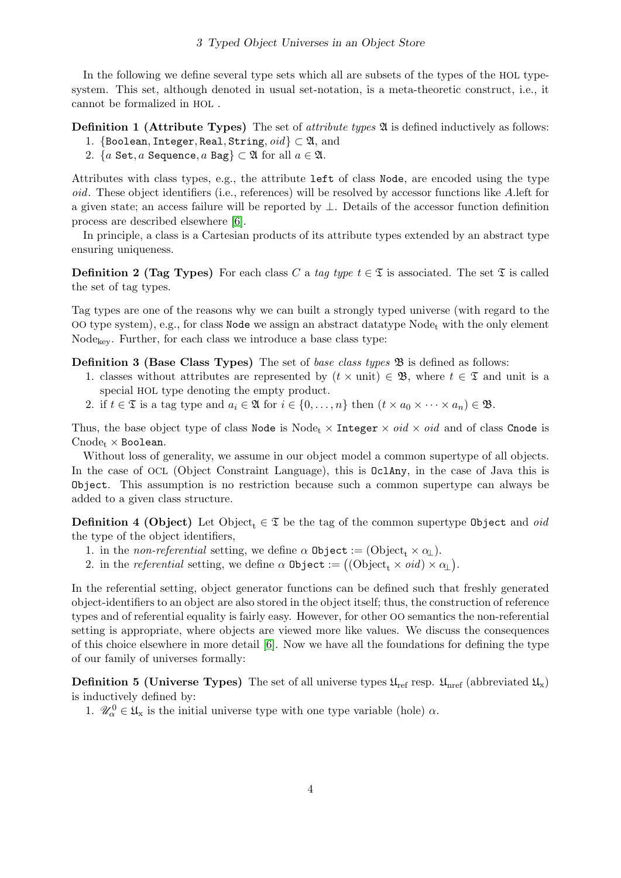In the following we define several type sets which all are subsets of the types of the HOL typesystem. This set, although denoted in usual set-notation, is a meta-theoretic construct, i.e., it cannot be formalized in HOL .

**Definition 1 (Attribute Types)** The set of *attribute types* 24 is defined inductively as follows:

- 1. {Boolean, Integer, Real, String,  $oid$ }  $\subset \mathfrak{A}$ , and
- 2. {a Set, a Sequence, a Bag}  $\subset \mathfrak{A}$  for all  $a \in \mathfrak{A}$ .

Attributes with class types, e.g., the attribute left of class Node, are encoded using the type oid. These object identifiers (i.e., references) will be resolved by accessor functions like A.left for a given state; an access failure will be reported by ⊥. Details of the accessor function definition process are described elsewhere [\[6\]](#page-13-6).

In principle, a class is a Cartesian products of its attribute types extended by an abstract type ensuring uniqueness.

**Definition 2 (Tag Types)** For each class C a tag type  $t \in \mathcal{I}$  is associated. The set  $\mathcal{I}$  is called the set of tag types.

Tag types are one of the reasons why we can built a strongly typed universe (with regard to the OO type system), e.g., for class Node we assign an abstract datatype  $Node_t$  with the only element  $Node_{\text{kev}}$ . Further, for each class we introduce a base class type:

**Definition 3 (Base Class Types)** The set of base class types  $\mathfrak{B}$  is defined as follows:

- 1. classes without attributes are represented by  $(t \times \text{unit}) \in \mathfrak{B}$ , where  $t \in \mathfrak{T}$  and unit is a special HOL type denoting the empty product.
- 2. if  $t \in \mathfrak{T}$  is a tag type and  $a_i \in \mathfrak{A}$  for  $i \in \{0, \ldots, n\}$  then  $(t \times a_0 \times \cdots \times a_n) \in \mathfrak{B}$ .

Thus, the base object type of class Node is Node<sub>t</sub>  $\times$  Integer  $\times$  *oid*  $\times$  *oid* and of class Cnode is  $Cnode_t \times Boolean$ .

Without loss of generality, we assume in our object model a common supertype of all objects. In the case of OCL (Object Constraint Language), this is OclAny, in the case of Java this is Object. This assumption is no restriction because such a common supertype can always be added to a given class structure.

**Definition 4 (Object)** Let Object<sub>t</sub>  $\in \mathcal{I}$  be the tag of the common supertype 0bject and *oid* the type of the object identifiers,

- 1. in the non-referential setting, we define  $\alpha$  0bject := (Object<sub>t</sub>  $\times \alpha_{\perp}$ ).
- 2. in the *referential* setting, we define  $\alpha$  0bject :=  $((\text{Object}_t \times \text{oid}) \times \alpha_{\perp})$ .

In the referential setting, object generator functions can be defined such that freshly generated object-identifiers to an object are also stored in the object itself; thus, the construction of reference types and of referential equality is fairly easy. However, for other OO semantics the non-referential setting is appropriate, where objects are viewed more like values. We discuss the consequences of this choice elsewhere in more detail [\[6\]](#page-13-6). Now we have all the foundations for defining the type of our family of universes formally:

**Definition 5 (Universe Types)** The set of all universe types  $\mathfrak{U}_{ref}$  resp.  $\mathfrak{U}_{ref}$  (abbreviated  $\mathfrak{U}_x$ ) is inductively defined by:

1.  $\mathscr{U}_{\alpha}^0 \in \mathfrak{U}_{\mathbf{x}}$  is the initial universe type with one type variable (hole)  $\alpha$ .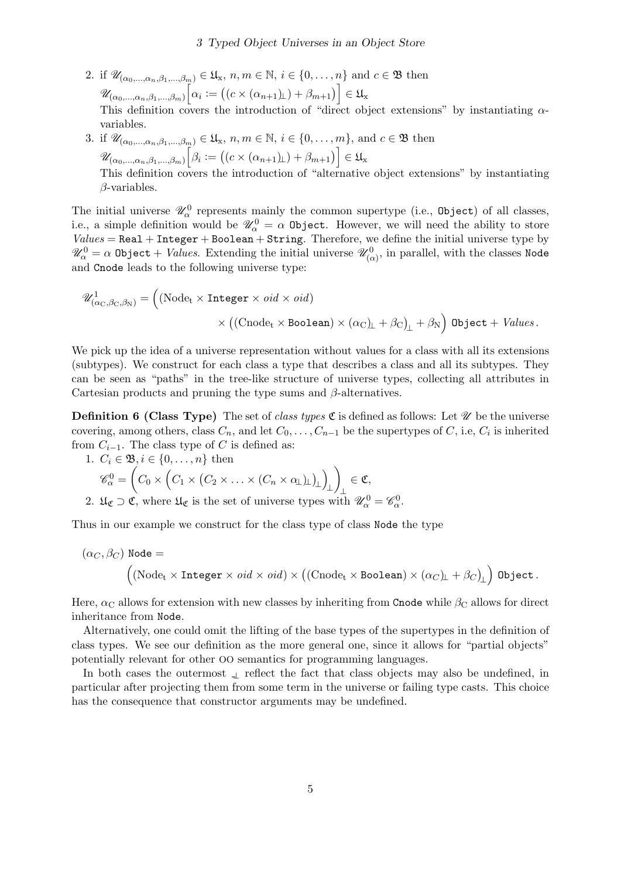- 2. if  $\mathscr{U}_{(\alpha_0,\dots,\alpha_n,\beta_1,\dots,\beta_m)} \in \mathfrak{U}_{\mathbf{x}}, n, m \in \mathbb{N}, i \in \{0,\dots,n\}$  and  $c \in \mathfrak{B}$  then  $\mathscr{U}_{(\alpha_0,\dots,\alpha_n,\beta_1,\dots,\beta_m)}\Big[\alpha_i:=\big((c\times(\alpha_{n+1})_{\!\!\bot})+\beta_{m+1}\big)\Big]\in\mathfrak{U}_\mathbf{x}$ This definition covers the introduction of "direct object extensions" by instantiating  $\alpha$ variables.
- 3. if  $\mathscr{U}_{(\alpha_0,\ldots,\alpha_n,\beta_1,\ldots,\beta_m)} \in \mathfrak{U}_{\mathbf{x}}, n, m \in \mathbb{N}, i \in \{0,\ldots,m\}, \text{ and } c \in \mathfrak{B} \text{ then}$  $\mathscr{U}_{(\alpha_0,\dots,\alpha_n,\beta_1,\dots,\beta_m)}\Big[\beta_i:=\big((c\times(\alpha_{n+1})_{\!\!\bot})+\beta_{m+1}\big)\Big]\in\mathfrak{U}_\mathbf{x}$ This definition covers the introduction of "alternative object extensions" by instantiating  $\beta$ -variables.

The initial universe  $\mathscr{U}^0_\alpha$  represents mainly the common supertype (i.e., 0bject) of all classes, i.e., a simple definition would be  $\mathscr{U}^0_\alpha = \alpha$  Object. However, we will need the ability to store  $Values = Real + Integer + Boolean + String.$  Therefore, we define the initial universe type by  $\mathscr{U}^0_\alpha=\alpha$  <code>Object</code>  $+$  *Values*. Extending the initial universe  $\mathscr{U}^0_{(\alpha)},$  in parallel, with the classes <code>Node</code> and Cnode leads to the following universe type:

$$
\mathscr{U}^1_{(\alpha_C, \beta_C, \beta_N)} = \left( (\text{Node}_t \times \text{Integer} \times \text{oid} \times \text{oid}) \times ((\text{Code}_t \times \text{Boolean}) \times (\alpha_C)_L + \beta_C)_1 + \beta_N \right) \text{Object} + \text{Values.}
$$

We pick up the idea of a universe representation without values for a class with all its extensions (subtypes). We construct for each class a type that describes a class and all its subtypes. They can be seen as "paths" in the tree-like structure of universe types, collecting all attributes in Cartesian products and pruning the type sums and  $\beta$ -alternatives.

**Definition 6 (Class Type)** The set of *class types*  $\mathfrak{C}$  is defined as follows: Let  $\mathcal{U}$  be the universe covering, among others, class  $C_n$ , and let  $C_0, \ldots, C_{n-1}$  be the supertypes of  $C$ , i.e,  $C_i$  is inherited from  $C_{i-1}$ . The class type of C is defined as:

1. 
$$
C_i \in \mathfrak{B}, i \in \{0, ..., n\}
$$
 then  
\n
$$
\mathscr{C}_{\alpha}^0 = \left(C_0 \times \left(C_1 \times (C_2 \times ... \times (C_n \times \alpha_L)_{\perp})_{\perp}\right)_{\perp}\right)_{\perp} \in \mathfrak{C},
$$

2.  $\mathfrak{U}_{\mathfrak{C}} \supset \mathfrak{C}$ , where  $\mathfrak{U}_{\mathfrak{C}}$  is the set of universe types with  $\mathscr{U}_{\alpha}^0 = \mathscr{C}_{\alpha}^0$ .

Thus in our example we construct for the class type of class Node the type

$$
(\alpha_C, \beta_C) \text{ Node} = \ \Big( (\text{Node}_t \times \text{Integer} \times \text{oid} \times \text{oid}) \times \big( (\text{Cnode}_t \times \text{Boolean}) \times (\alpha_C)_\bot + \beta_C \big)_\bot \Big) \text{ Object} \, .
$$

Here,  $\alpha_{\rm C}$  allows for extension with new classes by inheriting from Cnode while  $\beta_{\rm C}$  allows for direct inheritance from Node.

Alternatively, one could omit the lifting of the base types of the supertypes in the definition of class types. We see our definition as the more general one, since it allows for "partial objects" potentially relevant for other OO semantics for programming languages.

In both cases the outermost  $\perp$  reflect the fact that class objects may also be undefined, in particular after projecting them from some term in the universe or failing type casts. This choice has the consequence that constructor arguments may be undefined.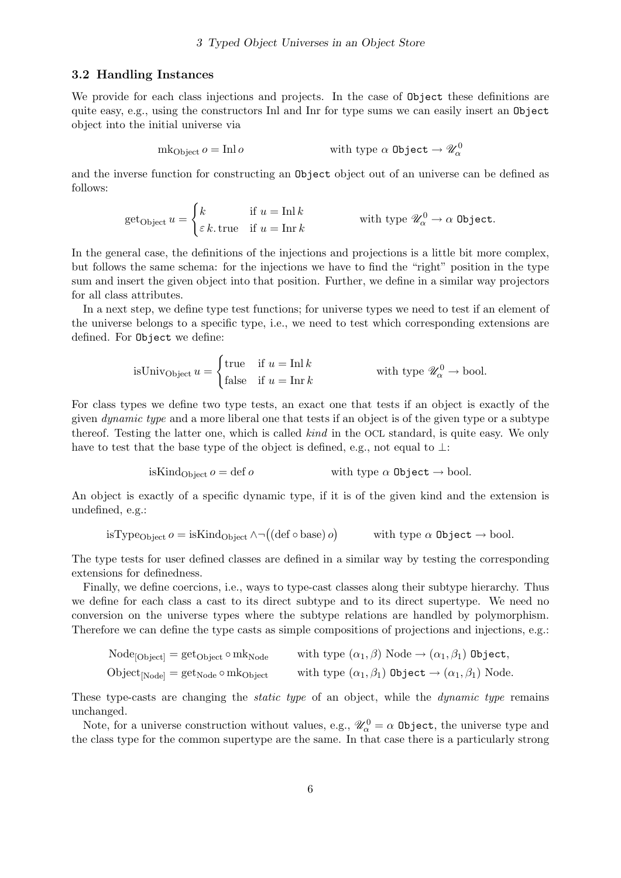#### 3.2 Handling Instances

We provide for each class injections and projects. In the case of  $\mathsf{Object}$  these definitions are quite easy, e.g., using the constructors Inl and Inr for type sums we can easily insert an Object object into the initial universe via

$$
mk_{Object} \, o = Inl \, o \qquad \qquad \text{with type } \alpha \text{ Object} \to \mathscr{U}_{\alpha}^{0}
$$

and the inverse function for constructing an Object object out of an universe can be defined as follows:

get<sub>Object</sub> 
$$
u = \begin{cases} k & \text{if } u = \text{Inl } k \\ \varepsilon k & \text{if } u = \text{Inr } k \end{cases}
$$
 with type  $\mathscr{U}_{\alpha}^{0} \to \alpha$  Object.

In the general case, the definitions of the injections and projections is a little bit more complex, but follows the same schema: for the injections we have to find the "right" position in the type sum and insert the given object into that position. Further, we define in a similar way projectors for all class attributes.

In a next step, we define type test functions; for universe types we need to test if an element of the universe belongs to a specific type, i.e., we need to test which corresponding extensions are defined. For Object we define:

isUniv<sub>Object</sub> 
$$
u = \begin{cases} \text{true} & \text{if } u = \text{Inl } k \\ \text{false} & \text{if } u = \text{Inr } k \end{cases}
$$
 with type  $\mathscr{U}_{\alpha}^{0} \to \text{bool}$ .

For class types we define two type tests, an exact one that tests if an object is exactly of the given dynamic type and a more liberal one that tests if an object is of the given type or a subtype thereof. Testing the latter one, which is called kind in the OCL standard, is quite easy. We only have to test that the base type of the object is defined, e.g., not equal to  $\perp$ :

isKind<sub>Object</sub> 
$$
o = \text{def } o
$$
 with type  $\alpha$  Object  $\rightarrow$  bool.

An object is exactly of a specific dynamic type, if it is of the given kind and the extension is undefined, e.g.:

isType<sub>Object</sub> 
$$
o = \text{isKind}_{Object} \land \neg((\text{def o base}) o)
$$
 with type  $\alpha$  Object  $\rightarrow$  bool.

The type tests for user defined classes are defined in a similar way by testing the corresponding extensions for definedness.

Finally, we define coercions, i.e., ways to type-cast classes along their subtype hierarchy. Thus we define for each class a cast to its direct subtype and to its direct supertype. We need no conversion on the universe types where the subtype relations are handled by polymorphism. Therefore we can define the type casts as simple compositions of projections and injections, e.g.:

$$
\text{Node}_{[\text{Object}]} = \text{get}_{\text{Object}} \circ \text{mk}_{\text{Node}} \qquad \text{with type } (\alpha_1, \beta) \text{ Node} \rightarrow (\alpha_1, \beta_1) \text{ Object},
$$

$$
Object_{[Node]} = get_{Node} \circ mk_{Object} \qquad \text{with type } (\alpha_1, \beta_1) \text{ Object} \rightarrow (\alpha_1, \beta_1) \text{ Node.}
$$

These type-casts are changing the *static type* of an object, while the *dynamic type* remains unchanged.

Note, for a universe construction without values, e.g.,  $\mathscr{U}^0_\alpha = \alpha$  0bject, the universe type and the class type for the common supertype are the same. In that case there is a particularly strong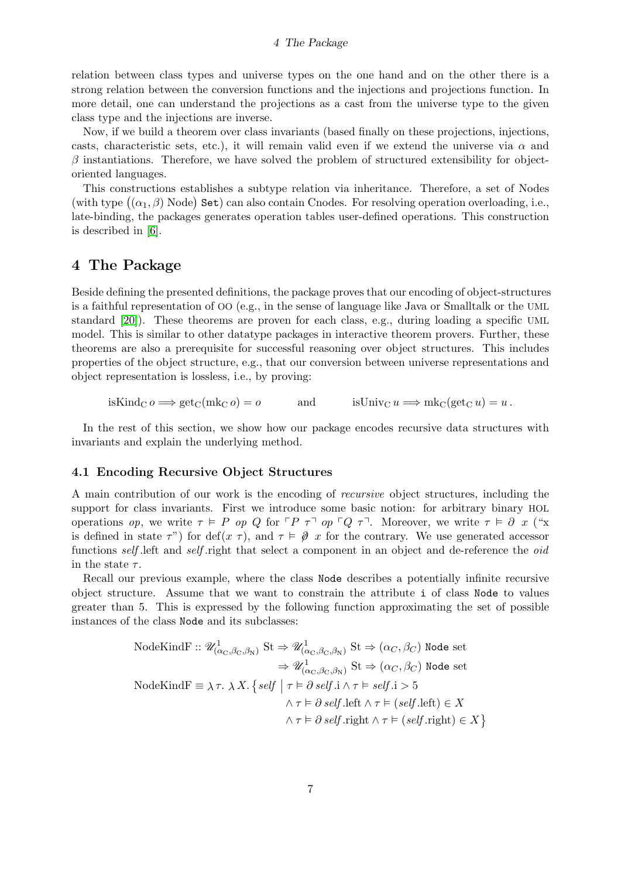#### 4 The Package

relation between class types and universe types on the one hand and on the other there is a strong relation between the conversion functions and the injections and projections function. In more detail, one can understand the projections as a cast from the universe type to the given class type and the injections are inverse.

Now, if we build a theorem over class invariants (based finally on these projections, injections, casts, characteristic sets, etc.), it will remain valid even if we extend the universe via  $\alpha$  and  $\beta$  instantiations. Therefore, we have solved the problem of structured extensibility for objectoriented languages.

This constructions establishes a subtype relation via inheritance. Therefore, a set of Nodes (with type  $((\alpha_1, \beta)$  Node) Set) can also contain Cnodes. For resolving operation overloading, i.e., late-binding, the packages generates operation tables user-defined operations. This construction is described in [\[6\]](#page-13-6).

## <span id="page-6-0"></span>4 The Package

Beside defining the presented definitions, the package proves that our encoding of object-structures is a faithful representation of OO (e.g., in the sense of language like Java or Smalltalk or the UML standard [\[20\]](#page-14-6)). These theorems are proven for each class, e.g., during loading a specific UML model. This is similar to other datatype packages in interactive theorem provers. Further, these theorems are also a prerequisite for successful reasoning over object structures. This includes properties of the object structure, e.g., that our conversion between universe representations and object representation is lossless, i.e., by proving:

isKind<sub>C</sub>  $o \Longrightarrow$  get<sub>C</sub>(mk<sub>C</sub>  $o$ ) =  $o$  and isUniv<sub>C</sub>  $u \Longrightarrow$  mk<sub>C</sub>(get<sub>C</sub>  $u$ ) =  $u$ .

In the rest of this section, we show how our package encodes recursive data structures with invariants and explain the underlying method.

## 4.1 Encoding Recursive Object Structures

A main contribution of our work is the encoding of recursive object structures, including the support for class invariants. First we introduce some basic notion: for arbitrary binary HOL operations op, we write  $\tau \models P$  op Q for  $\ulcorner P \tau \urcorner$  op  $\ulcorner Q \tau \urcorner$ . Moreover, we write  $\tau \models \partial x$  ("x is defined in state  $\tau$ ") for def(x  $\tau$ ), and  $\tau \models \emptyset$  x for the contrary. We use generated accessor functions self. Left and self right that select a component in an object and de-reference the *oid* in the state  $\tau$ .

Recall our previous example, where the class Node describes a potentially infinite recursive object structure. Assume that we want to constrain the attribute i of class Node to values greater than 5. This is expressed by the following function approximating the set of possible instances of the class Node and its subclasses:

NodeKindF :: 
$$
\mathcal{U}^1_{(\alpha_C,\beta_C,\beta_N)}
$$
 St  $\Rightarrow \mathcal{U}^1_{(\alpha_C,\beta_C,\beta_N)}$  St  $\Rightarrow (\alpha_C, \beta_C)$  Node set  
\n $\Rightarrow \mathcal{U}^1_{(\alpha_C,\beta_C,\beta_N)}$  St  $\Rightarrow (\alpha_C, \beta_C)$  Node set  
\nNodeKindF  $\equiv \lambda \tau$ .  $\lambda X$ . { *self* |  $\tau \models \partial$  *self* . $\lambda \tau \models self.\lambda \tau \models self.\text{left } \land \tau \models (self.\text{left}) \in X$   
\n $\land \tau \models \partial$  *self* .right  $\land \tau \models (self.\text{right}) \in X$   
\n $\land \tau \models \partial$  *self* .right  $\land \tau \models (self.\text{right}) \in X$ }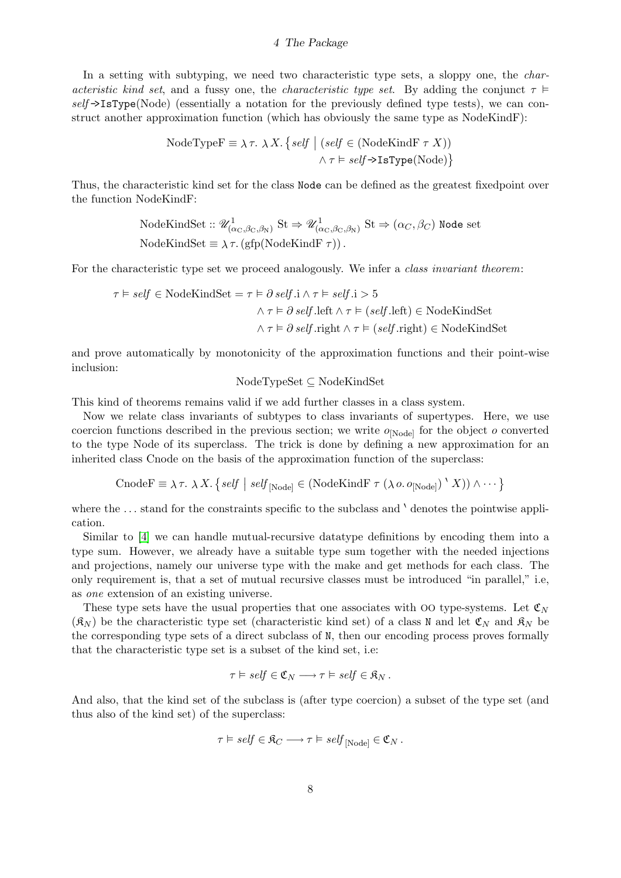#### 4 The Package

In a setting with subtyping, we need two characteristic type sets, a sloppy one, the *char*acteristic kind set, and a fussy one, the characteristic type set. By adding the conjunct  $\tau \models$  $self \rightarrow IsType(Node)$  (essentially a notation for the previously defined type tests), we can construct another approximation function (which has obviously the same type as NodeKindF):

NodeTypeF 
$$
\equiv \lambda \tau
$$
.  $\lambda X$ . { *self* | (*self*  $\in$  (NodeKindF  $\tau X$ ))  
 $\land \tau \vDash self \rightarrow IsType(\text{Node})$ }

Thus, the characteristic kind set for the class Node can be defined as the greatest fixedpoint over the function NodeKindF:

NodeKindSet :: 
$$
\mathcal{U}^1_{(\alpha_C, \beta_C, \beta_N)}
$$
 St  $\Rightarrow \mathcal{U}^1_{(\alpha_C, \beta_C, \beta_N)}$  St  $\Rightarrow (\alpha_C, \beta_C)$  Node set  
NodeKindSet  $\equiv \lambda \tau$ . (gfp(NodeKindF  $\tau$ )).

For the characteristic type set we proceed analogously. We infer a *class invariant theorem*:

$$
\tau \vDash \mathit{self} \in \mathit{NodeKindSet} = \tau \vDash \partial \mathit{self}.i \land \tau \vDash \mathit{self}.i > 5
$$
\n
$$
\land \tau \vDash \partial \mathit{self}.left \land \tau \vDash (\mathit{self}.left) \in \mathit{NodeKindSet}
$$
\n
$$
\land \tau \vDash \partial \mathit{self}.\mathit{right} \land \tau \vDash (\mathit{self}.\mathit{right}) \in \mathit{NodeKindSet}
$$

and prove automatically by monotonicity of the approximation functions and their point-wise inclusion:

#### NodeTypeSet ⊆ NodeKindSet

This kind of theorems remains valid if we add further classes in a class system.

Now we relate class invariants of subtypes to class invariants of supertypes. Here, we use coercion functions described in the previous section; we write  $o_{[Node]}$  for the object  $o$  converted to the type Node of its superclass. The trick is done by defining a new approximation for an inherited class Cnode on the basis of the approximation function of the superclass:

$$
\text{CnodeF} \equiv \lambda \tau. \ \lambda X. \ \{ \text{self} \mid \text{self}_{[Node]} \in (\text{NodeKindF } \tau \ (\lambda \text{ o. o}_{[Node]}) \setminus X)) \wedge \cdots \}
$$

where the  $\dots$  stand for the constraints specific to the subclass and  $\check{ }$  denotes the pointwise application.

Similar to [\[4\]](#page-13-7) we can handle mutual-recursive datatype definitions by encoding them into a type sum. However, we already have a suitable type sum together with the needed injections and projections, namely our universe type with the make and get methods for each class. The only requirement is, that a set of mutual recursive classes must be introduced "in parallel," i.e, as one extension of an existing universe.

These type sets have the usual properties that one associates with OO type-systems. Let  $\mathfrak{C}_N$  $(\mathfrak{K}_{N})$  be the characteristic type set (characteristic kind set) of a class N and let  $\mathfrak{C}_{N}$  and  $\mathfrak{K}_{N}$  be the corresponding type sets of a direct subclass of N, then our encoding process proves formally that the characteristic type set is a subset of the kind set, i.e:

$$
\tau \vDash \mathit{self} \in \mathfrak{C}_N \longrightarrow \tau \vDash \mathit{self} \in \mathfrak{K}_N \, .
$$

And also, that the kind set of the subclass is (after type coercion) a subset of the type set (and thus also of the kind set) of the superclass:

$$
\tau \vDash \mathit{self} \in \mathfrak{K}_C \longrightarrow \tau \vDash \mathit{self}_{[Node]} \in \mathfrak{C}_N \, .
$$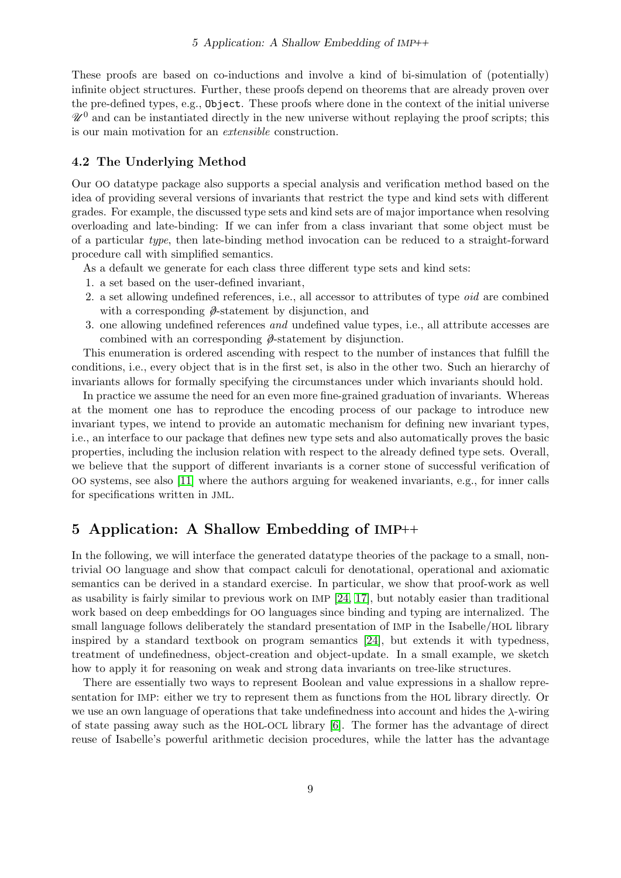These proofs are based on co-inductions and involve a kind of bi-simulation of (potentially) infinite object structures. Further, these proofs depend on theorems that are already proven over the pre-defined types, e.g., Object. These proofs where done in the context of the initial universe  $\mathcal{U}^0$  and can be instantiated directly in the new universe without replaying the proof scripts; this is our main motivation for an extensible construction.

#### <span id="page-8-0"></span>4.2 The Underlying Method

Our OO datatype package also supports a special analysis and verification method based on the idea of providing several versions of invariants that restrict the type and kind sets with different grades. For example, the discussed type sets and kind sets are of major importance when resolving overloading and late-binding: If we can infer from a class invariant that some object must be of a particular type, then late-binding method invocation can be reduced to a straight-forward procedure call with simplified semantics.

- As a default we generate for each class three different type sets and kind sets:
- 1. a set based on the user-defined invariant,
- 2. a set allowing undefined references, i.e., all accessor to attributes of type oid are combined with a corresponding  $\hat{\phi}$ -statement by disjunction, and
- 3. one allowing undefined references and undefined value types, i.e., all attribute accesses are combined with an corresponding  $\hat{\phi}$ -statement by disjunction.

This enumeration is ordered ascending with respect to the number of instances that fulfill the conditions, i.e., every object that is in the first set, is also in the other two. Such an hierarchy of invariants allows for formally specifying the circumstances under which invariants should hold.

In practice we assume the need for an even more fine-grained graduation of invariants. Whereas at the moment one has to reproduce the encoding process of our package to introduce new invariant types, we intend to provide an automatic mechanism for defining new invariant types, i.e., an interface to our package that defines new type sets and also automatically proves the basic properties, including the inclusion relation with respect to the already defined type sets. Overall, we believe that the support of different invariants is a corner stone of successful verification of OO systems, see also [\[11\]](#page-14-0) where the authors arguing for weakened invariants, e.g., for inner calls for specifications written in JML.

# 5 Application: A Shallow Embedding of IMP++

In the following, we will interface the generated datatype theories of the package to a small, nontrivial OO language and show that compact calculi for denotational, operational and axiomatic semantics can be derived in a standard exercise. In particular, we show that proof-work as well as usability is fairly similar to previous work on IMP [\[24,](#page-14-7) [17\]](#page-14-8), but notably easier than traditional work based on deep embeddings for OO languages since binding and typing are internalized. The small language follows deliberately the standard presentation of IMP in the Isabelle/HOL library inspired by a standard textbook on program semantics [\[24\]](#page-14-7), but extends it with typedness, treatment of undefinedness, object-creation and object-update. In a small example, we sketch how to apply it for reasoning on weak and strong data invariants on tree-like structures.

There are essentially two ways to represent Boolean and value expressions in a shallow representation for IMP: either we try to represent them as functions from the HOL library directly. Or we use an own language of operations that take undefinedness into account and hides the  $\lambda$ -wiring of state passing away such as the HOL-OCL library [\[6\]](#page-13-6). The former has the advantage of direct reuse of Isabelle's powerful arithmetic decision procedures, while the latter has the advantage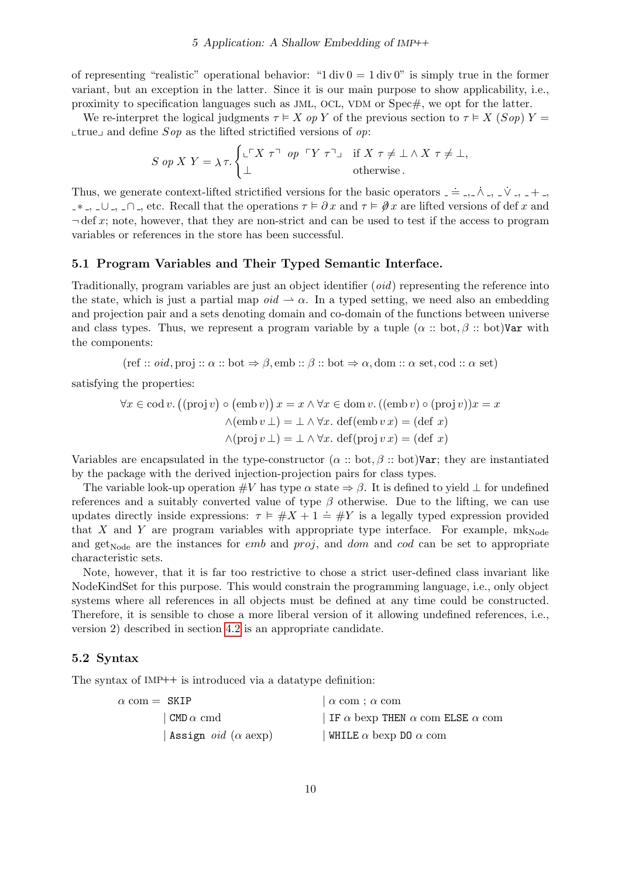of representing "realistic" operational behavior: "1 div  $0 = 1$  div 0" is simply true in the former variant, but an exception in the latter. Since it is our main purpose to show applicability, i.e., proximity to specification languages such as JML, OCL, VDM or Spec#, we opt for the latter.

We re-interpret the logical judgments  $\tau \in X$  op Y of the previous section to  $\tau \in X$  (Sop)  $Y =$  $\lvert$  true<sub>J</sub> and define Sop as the lifted strictified versions of op:

$$
S \text{ op } X \text{ } Y = \lambda \tau. \begin{cases} \bot^{\top} X \tau^{\top} \text{ op } \ulcorner Y \tau^{\top} \urcorner & \text{if } X \tau \neq \bot \wedge X \tau \neq \bot, \\ \bot & \text{otherwise.} \end{cases}
$$

Thus, we generate context-lifted strictified versions for the basic operators  $=$   $=$   $\ldots$   $\lambda$   $=$   $\ldots$   $\lambda$   $=$   $+$   $-$ \*,  $-$ ∪,  $-$ ∩, etc. Recall that the operations  $τ ∈ ∂x$  and  $τ ∈ ∅x$  are lifted versions of def x and  $\neg$  def x; note, however, that they are non-strict and can be used to test if the access to program variables or references in the store has been successful.

#### 5.1 Program Variables and Their Typed Semantic Interface.

Traditionally, program variables are just an object identifier (*oid*) representing the reference into the state, which is just a partial map  $oid \rightarrow \alpha$ . In a typed setting, we need also an embedding and projection pair and a sets denoting domain and co-domain of the functions between universe and class types. Thus, we represent a program variable by a tuple  $(\alpha : \text{bot}, \beta : \text{bot})$ Var with the components:

(ref :: *oid*, proj ::  $\alpha$  :: bot  $\Rightarrow \beta$ , emb ::  $\beta$  :: bot  $\Rightarrow \alpha$ , dom ::  $\alpha$  set, cod ::  $\alpha$  set)

satisfying the properties:

$$
\forall x \in \text{cod } v. ((\text{proj } v) \circ (\text{emb } v)) x = x \land \forall x \in \text{dom } v. ((\text{emb } v) \circ (\text{proj } v)) x = x
$$

$$
\land (\text{emb } v \perp) = \bot \land \forall x. \text{ def}(\text{emb } v x) = (\text{def } x)
$$

$$
\land (\text{proj } v \perp) = \bot \land \forall x. \text{ def}(\text{proj } v x) = (\text{def } x)
$$

Variables are encapsulated in the type-constructor ( $\alpha$  :: bot,  $\beta$  :: bot)Var; they are instantiated by the package with the derived injection-projection pairs for class types.

The variable look-up operation  $\#V$  has type  $\alpha$  state  $\Rightarrow \beta$ . It is defined to yield  $\bot$  for undefined references and a suitably converted value of type  $\beta$  otherwise. Due to the lifting, we can use updates directly inside expressions:  $\tau \vDash \#X + 1 \doteq \#Y$  is a legally typed expression provided that X and Y are program variables with appropriate type interface. For example,  $m_{\text{Node}}$ and get<sub>Node</sub> are the instances for *emb* and *proj*, and *dom* and *cod* can be set to appropriate characteristic sets.

Note, however, that it is far too restrictive to chose a strict user-defined class invariant like NodeKindSet for this purpose. This would constrain the programming language, i.e., only object systems where all references in all objects must be defined at any time could be constructed. Therefore, it is sensible to chose a more liberal version of it allowing undefined references, i.e., version 2) described in section [4.2](#page-8-0) is an appropriate candidate.

#### 5.2 Syntax

The syntax of IMP++ is introduced via a datatype definition:

| $\alpha$ com = SKIP                       | $\alpha$ com ; $\alpha$ com                          |
|-------------------------------------------|------------------------------------------------------|
| CMD $\alpha$ cmd $\,$                     | IF $\alpha$ bexp THEN $\alpha$ com ELSE $\alpha$ com |
| Assign <i>oid</i> $(\alpha \text{ aexp})$ | WHILE $\alpha$ bexp DO $\alpha$ com                  |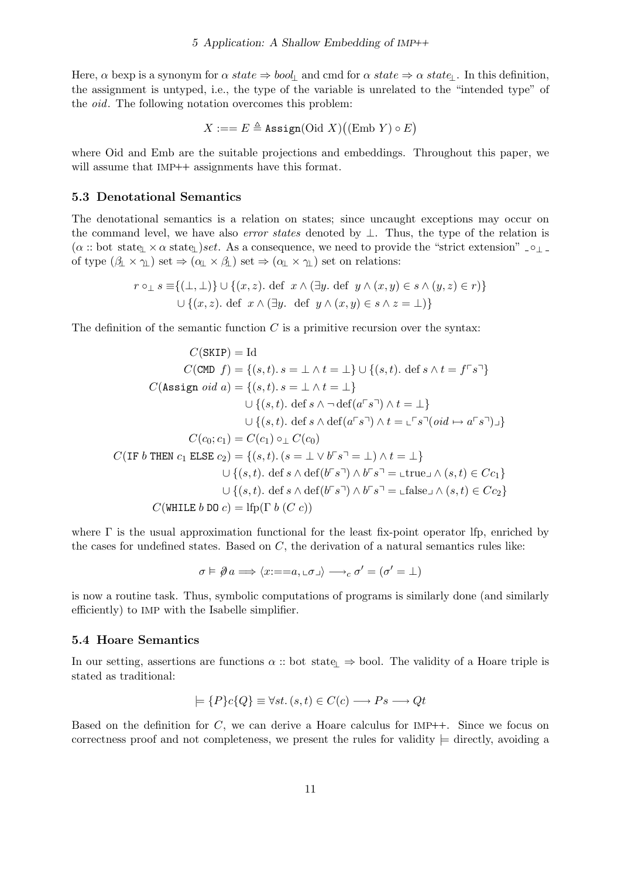Here,  $\alpha$  bexp is a synonym for  $\alpha$  state  $\Rightarrow$  bool<sub>l</sub> and cmd for  $\alpha$  state  $\Rightarrow$   $\alpha$  state<sub>⊥</sub>. In this definition, the assignment is untyped, i.e., the type of the variable is unrelated to the "intended type" of the *oid*. The following notation overcomes this problem:

$$
X := = E \triangleq \texttt{Assign}(\text{Oid } X) \big((\text{Emb } Y) \circ E \big)
$$

where Oid and Emb are the suitable projections and embeddings. Throughout this paper, we will assume that IMP++ assignments have this format.

#### 5.3 Denotational Semantics

The denotational semantics is a relation on states; since uncaught exceptions may occur on the command level, we have also *error states* denoted by  $\bot$ . Thus, the type of the relation is  $(\alpha$  :: bot state<sub>l</sub>  $\times \alpha$  state<sub>l</sub>)set. As a consequence, we need to provide the "strict extension" <sub>-</sub> of type  $(\beta_1 \times \gamma_1)$  set  $\Rightarrow (\alpha_1 \times \beta_1)$  set  $\Rightarrow (\alpha_1 \times \gamma_1)$  set on relations:

$$
r \circ_{\perp} s \equiv \{ (\perp, \perp) \} \cup \{ (x, z). \text{ def } x \land (\exists y. \text{ def } y \land (x, y) \in s \land (y, z) \in r) \}
$$
  

$$
\cup \{ (x, z). \text{ def } x \land (\exists y. \text{ def } y \land (x, y) \in s \land z = \perp) \}
$$

The definition of the semantic function  $C$  is a primitive recursion over the syntax:

$$
C(\text{SKIP}) = \text{Id}
$$
  
\n
$$
C(\text{CMD } f) = \{(s, t) \cdot s = \bot \land t = \bot\} \cup \{(s, t) \cdot \text{def } s \land t = f \ulcorner s \urcorner\}
$$
  
\n
$$
C(\text{Assign } oid \ a) = \{(s, t) \cdot s = \bot \land t = \bot\}
$$
  
\n
$$
\cup \{(s, t) \cdot \text{def } s \land \neg \text{def}(a \ulcorner s \urcorner) \land t = \bot\}
$$
  
\n
$$
\cup \{(s, t) \cdot \text{def } s \land \text{def}(a \ulcorner s \urcorner) \land t = \bot \ulcorner s \urcorner (oid \mapsto a \ulcorner s \urcorner) \urcorner\}
$$
  
\n
$$
C(c_0; c_1) = C(c_1) \circ \bot C(c_0)
$$
  
\n
$$
C(\text{IF } b \text{ THEN } c_1 \text{ ELSE } c_2) = \{(s, t) \cdot (s = \bot \lor b \ulcorner s \urcorner = \bot) \land t = \bot\}
$$
  
\n
$$
\cup \{(s, t) \cdot \text{def } s \land \text{def}(b \ulcorner s \urcorner) \land b \ulcorner s \urcorner = \bot \text{true} \sqcup \land (s, t) \in Cc_1\}
$$
  
\n
$$
\cup \{(s, t) \cdot \text{def } s \land \text{def}(b \ulcorner s \urcorner) \land b \ulcorner s \urcorner = \bot \text{false} \sqcup \land (s, t) \in Cc_2\}
$$
  
\n
$$
C(\text{WHILE } b \text{ DO } c) = \text{Ifp}(\Gamma b (C c))
$$

where  $\Gamma$  is the usual approximation functional for the least fix-point operator lfp, enriched by the cases for undefined states. Based on  $C$ , the derivation of a natural semantics rules like:

$$
\sigma \vDash \emptyset \, a \Longrightarrow \langle x \mathbin{:=} = a, \bot \sigma \bot \rangle \longrightarrow_c \sigma' = (\sigma' = \bot)
$$

is now a routine task. Thus, symbolic computations of programs is similarly done (and similarly efficiently) to IMP with the Isabelle simplifier.

#### 5.4 Hoare Semantics

In our setting, assertions are functions  $\alpha$  :: bot state<sub>⊥</sub> ⇒ bool. The validity of a Hoare triple is stated as traditional:

$$
\models \{P\}c\{Q\} \equiv \forall st. (s, t) \in C(c) \longrightarrow Ps \longrightarrow Qt
$$

Based on the definition for  $C$ , we can derive a Hoare calculus for IMP++. Since we focus on correctness proof and not completeness, we present the rules for validity  $\models$  directly, avoiding a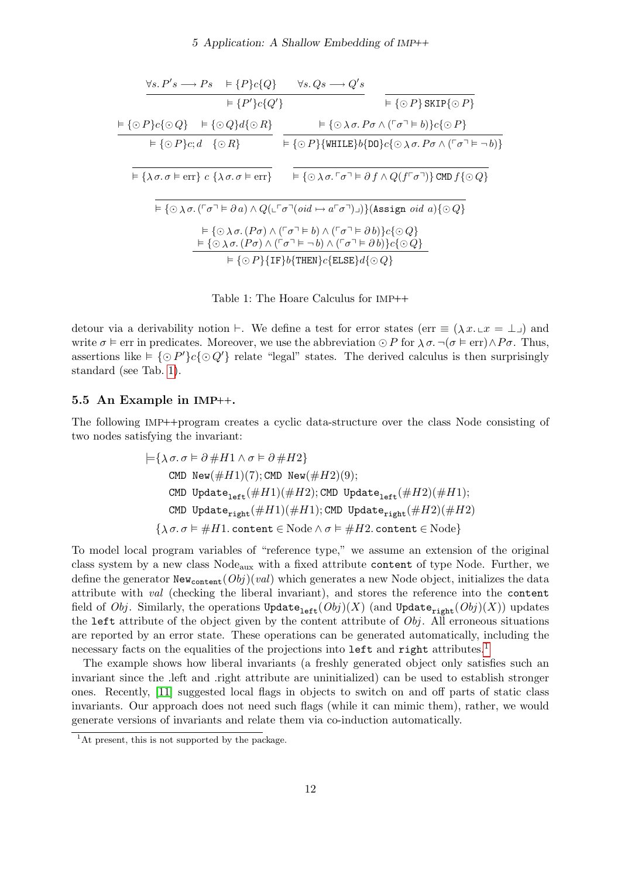#### 5 Application: A Shallow Embedding of IMP++

$$
\frac{\forall s. P's \rightarrow Ps \models \{P\}c\{Q\}}{\models \{P'\}c\{Q'\}} = \frac{\forall s. Qs \rightarrow Q's}{\models \{O\} \text{ SKIP}\{\odot P\}} \n\frac{\models \{O\}c\{OQ\} \models \{OQ\}d\{OR\}}{\models \{OP\}c;d \{OR\}} = \frac{\models \{O\}\land \sigma. P\sigma \land (\ulcorner \sigma \urcorner \vDash b)\}c\{OP\}}{\models \{\partial P\}c;d \{OR\}} = \frac{\models \{O\}c\}[\text{WHILE}\}b\{\text{DD}\}c\{\odot\land \sigma. P\sigma \land (\ulcorner \sigma \urcorner \vDash \neg b)\}}{\models \{\lambda \sigma. \sigma \vDash \text{err}\}c \{\lambda \sigma. \sigma \vDash \text{err}\}} = \frac{\models \{\odot\lambda \sigma. \ulcorner \sigma \urcorner \vDash \partial f \land Q(f\ulcorner \sigma \urcorner)\} \text{CMD } f\{\odot Q\}} \n\frac{\models \{\odot\lambda \sigma. (\ulcorner \sigma \urcorner \vDash \partial a) \land Q(\ulcorner \ulcorner \sigma \urcorner (oid \mapsto a\ulcorner \sigma \urcorner) \urcorner))\} \text{(Assign }oid a)\{\odot Q\}} = \frac{\models \{\odot\lambda \sigma. (P\sigma) \land (\ulcorner \sigma \urcorner \vDash b) \land (\ulcorner \sigma \urcorner \vDash \partial b)\}c\{\odot Q\}} = \frac{\models \{\odot\lambda \sigma. (P\sigma) \land (\ulcorner \sigma \urcorner \vDash \neg b) \land (\ulcorner \sigma \urcorner \vDash \partial b)\}c\{\odot Q\}}}{\models \{\odot P\}\{\text{IF}\}b\{\text{THEN}\}c\{\text{ELSE}\}d\{\odot Q\}}
$$

<span id="page-11-0"></span>Table 1: The Hoare Calculus for IMP++

detour via a derivability notion  $\vdash$ . We define a test for error states (err  $\equiv (\lambda x.\bot x = \bot)$ ) and write  $\sigma \vDash \text{err}$  in predicates. Moreover, we use the abbreviation  $\odot P$  for  $\lambda \sigma$ ,  $\neg (\sigma \vDash \text{err}) \wedge P \sigma$ . Thus, assertions like  $\models {\{\odot P'\}}c{\{\odot Q'\}}$  relate "legal" states. The derived calculus is then surprisingly standard (see Tab. [1\)](#page-11-0).

#### 5.5 An Example in IMP++.

The following IMP++program creates a cyclic data-structure over the class Node consisting of two nodes satisfying the invariant:

$$
\begin{aligned}&\models \{\lambda\, \sigma.\, \sigma \vDash \partial\, \#H1 \wedge \sigma \vDash \partial\, \#H2\}\\&\text{CMD New}(\#H1)(7); \text{CMD New}(\#H2)(9);\\&\text{CMD Update}_{\text{left}}(\#H1)(\#H2); \text{CMD Update}_{\text{left}}(\#H2)(\#H1);\\&\text{CMD Update}_{\text{right}}(\#H1)(\#H1); \text{CMD Update}_{\text{right}}(\#H2)(\#H2)\\&\{\lambda\, \sigma.\, \sigma \vDash \#H1.\, \text{content} \in \text{Node} \wedge \sigma \vDash \#H2.\, \text{content} \in \text{Node}\}\end{aligned}
$$

To model local program variables of "reference type," we assume an extension of the original class system by a new class Nodeaux with a fixed attribute content of type Node. Further, we define the generator  $New<sub>content</sub>(Obj)(val)$  which generates a new Node object, initializes the data attribute with val (checking the liberal invariant), and stores the reference into the content field of Obj. Similarly, the operations  $\text{Update}_{\text{left}}(Obj)(X)$  (and  $\text{Update}_{\text{right}}(Obj)(X))$  updates the left attribute of the object given by the content attribute of  $Obj$ . All erroneous situations are reported by an error state. These operations can be generated automatically, including the necessary facts on the equalities of the projections into left and right attributes.<sup>[1](#page-11-1)</sup>

The example shows how liberal invariants (a freshly generated object only satisfies such an invariant since the .left and .right attribute are uninitialized) can be used to establish stronger ones. Recently, [\[11\]](#page-14-0) suggested local flags in objects to switch on and off parts of static class invariants. Our approach does not need such flags (while it can mimic them), rather, we would generate versions of invariants and relate them via co-induction automatically.

<span id="page-11-1"></span><sup>&</sup>lt;sup>1</sup>At present, this is not supported by the package.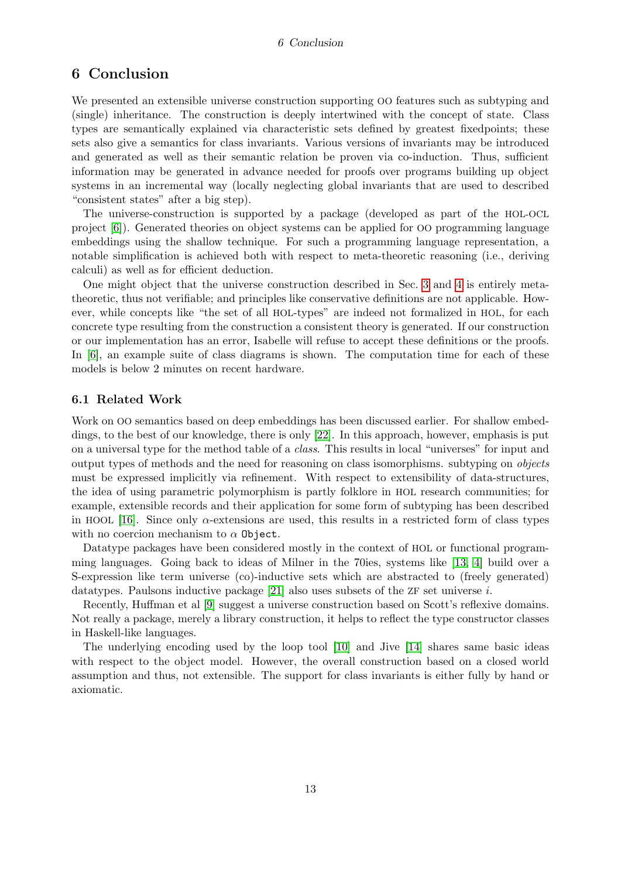#### 6 Conclusion

## 6 Conclusion

We presented an extensible universe construction supporting OO features such as subtyping and (single) inheritance. The construction is deeply intertwined with the concept of state. Class types are semantically explained via characteristic sets defined by greatest fixedpoints; these sets also give a semantics for class invariants. Various versions of invariants may be introduced and generated as well as their semantic relation be proven via co-induction. Thus, sufficient information may be generated in advance needed for proofs over programs building up object systems in an incremental way (locally neglecting global invariants that are used to described "consistent states" after a big step).

The universe-construction is supported by a package (developed as part of the HOL-OCL project [\[6\]](#page-13-6)). Generated theories on object systems can be applied for OO programming language embeddings using the shallow technique. For such a programming language representation, a notable simplification is achieved both with respect to meta-theoretic reasoning (i.e., deriving calculi) as well as for efficient deduction.

One might object that the universe construction described in Sec. [3](#page-2-0) and [4](#page-6-0) is entirely metatheoretic, thus not verifiable; and principles like conservative definitions are not applicable. However, while concepts like "the set of all HOL-types" are indeed not formalized in HOL, for each concrete type resulting from the construction a consistent theory is generated. If our construction or our implementation has an error, Isabelle will refuse to accept these definitions or the proofs. In [\[6\]](#page-13-6), an example suite of class diagrams is shown. The computation time for each of these models is below 2 minutes on recent hardware.

#### 6.1 Related Work

Work on OO semantics based on deep embeddings has been discussed earlier. For shallow embeddings, to the best of our knowledge, there is only [\[22\]](#page-14-9). In this approach, however, emphasis is put on a universal type for the method table of a class. This results in local "universes" for input and output types of methods and the need for reasoning on class isomorphisms. subtyping on objects must be expressed implicitly via refinement. With respect to extensibility of data-structures, the idea of using parametric polymorphism is partly folklore in HOL research communities; for example, extensible records and their application for some form of subtyping has been described in HOOL [\[16\]](#page-14-10). Since only  $\alpha$ -extensions are used, this results in a restricted form of class types with no coercion mechanism to  $\alpha$  Object.

Datatype packages have been considered mostly in the context of HOL or functional programming languages. Going back to ideas of Milner in the 70ies, systems like [\[13,](#page-14-11) [4\]](#page-13-7) build over a S-expression like term universe (co)-inductive sets which are abstracted to (freely generated) datatypes. Paulsons inductive package  $[21]$  also uses subsets of the ZF set universe i.

Recently, Huffman et al [\[9\]](#page-13-8) suggest a universe construction based on Scott's reflexive domains. Not really a package, merely a library construction, it helps to reflect the type constructor classes in Haskell-like languages.

The underlying encoding used by the loop tool [\[10\]](#page-13-9) and Jive [\[14\]](#page-14-13) shares same basic ideas with respect to the object model. However, the overall construction based on a closed world assumption and thus, not extensible. The support for class invariants is either fully by hand or axiomatic.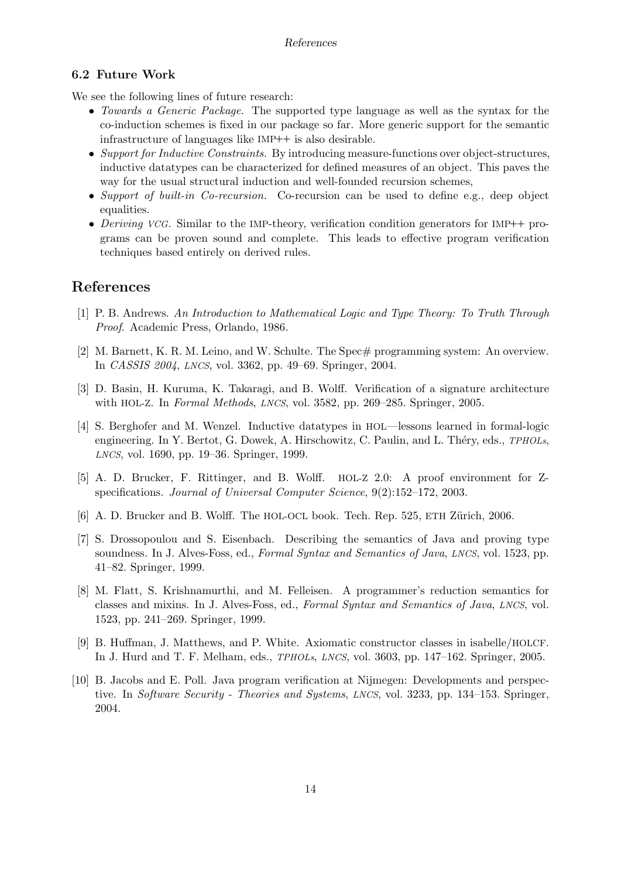#### 6.2 Future Work

We see the following lines of future research:

- Towards a Generic Package. The supported type language as well as the syntax for the co-induction schemes is fixed in our package so far. More generic support for the semantic infrastructure of languages like IMP++ is also desirable.
- Support for Inductive Constraints. By introducing measure-functions over object-structures, inductive datatypes can be characterized for defined measures of an object. This paves the way for the usual structural induction and well-founded recursion schemes,
- Support of built-in Co-recursion. Co-recursion can be used to define e.g., deep object equalities.
- Deriving VCG. Similar to the IMP-theory, verification condition generators for IMP++ programs can be proven sound and complete. This leads to effective program verification techniques based entirely on derived rules.

# References

- <span id="page-13-5"></span>[1] P. B. Andrews. An Introduction to Mathematical Logic and Type Theory: To Truth Through Proof. Academic Press, Orlando, 1986.
- <span id="page-13-0"></span>[2] M. Barnett, K. R. M. Leino, and W. Schulte. The Spec# programming system: An overview. In CASSIS 2004, LNCS, vol. 3362, pp. 49–69. Springer, 2004.
- <span id="page-13-4"></span>[3] D. Basin, H. Kuruma, K. Takaragi, and B. Wolff. Verification of a signature architecture with HOL-Z. In Formal Methods, LNCS, vol. 3582, pp. 269–285. Springer, 2005.
- <span id="page-13-7"></span>[4] S. Berghofer and M. Wenzel. Inductive datatypes in HOL—lessons learned in formal-logic engineering. In Y. Bertot, G. Dowek, A. Hirschowitz, C. Paulin, and L. Théry, eds., TPHOLs, LNCS, vol. 1690, pp. 19–36. Springer, 1999.
- <span id="page-13-3"></span>[5] A. D. Brucker, F. Rittinger, and B. Wolff. HOL-Z 2.0: A proof environment for Zspecifications. Journal of Universal Computer Science, 9(2):152–172, 2003.
- <span id="page-13-6"></span>[6] A. D. Brucker and B. Wolff. The HOL-OCL book. Tech. Rep. 525, ETH Zürich, 2006.
- <span id="page-13-1"></span>[7] S. Drossopoulou and S. Eisenbach. Describing the semantics of Java and proving type soundness. In J. Alves-Foss, ed., Formal Syntax and Semantics of Java, LNCS, vol. 1523, pp. 41–82. Springer, 1999.
- <span id="page-13-2"></span>[8] M. Flatt, S. Krishnamurthi, and M. Felleisen. A programmer's reduction semantics for classes and mixins. In J. Alves-Foss, ed., Formal Syntax and Semantics of Java, LNCS, vol. 1523, pp. 241–269. Springer, 1999.
- <span id="page-13-8"></span>[9] B. Huffman, J. Matthews, and P. White. Axiomatic constructor classes in isabelle/HOLCF. In J. Hurd and T. F. Melham, eds., TPHOLs, LNCS, vol. 3603, pp. 147–162. Springer, 2005.
- <span id="page-13-9"></span>[10] B. Jacobs and E. Poll. Java program verification at Nijmegen: Developments and perspective. In Software Security - Theories and Systems, LNCS, vol. 3233, pp. 134–153. Springer, 2004.